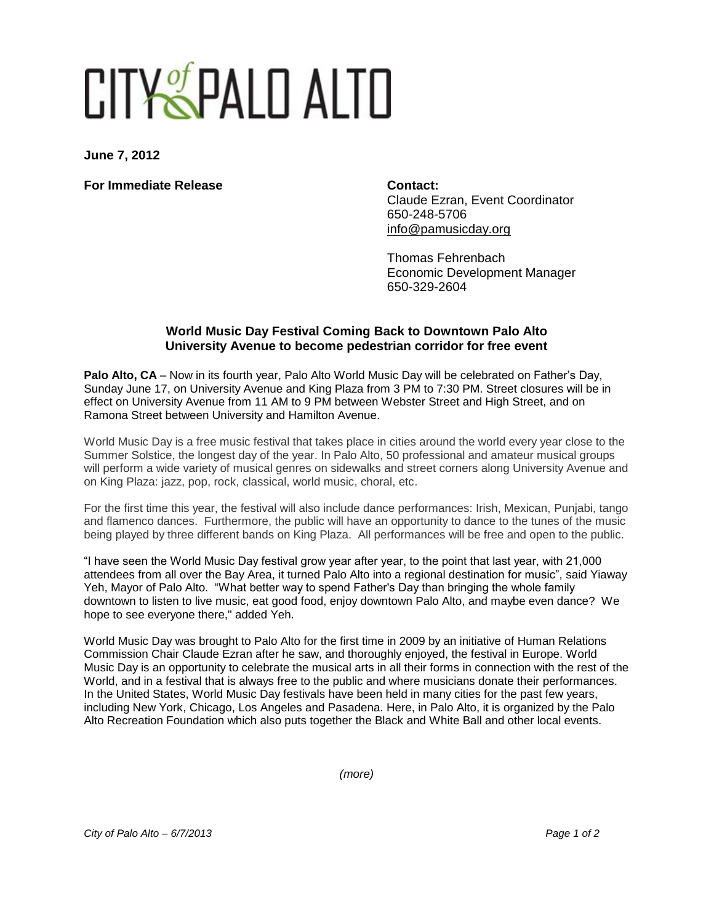## CITY SPALD ALTO

**June 7, 2012**

**For Immediate Release Contact: Contact:** 

Claude Ezran, Event Coordinator 650-248-5706 [info@pamusicday.org](mailto:info@pamusicday.org)

Thomas Fehrenbach Economic Development Manager 650-329-2604

## **World Music Day Festival Coming Back to Downtown Palo Alto University Avenue to become pedestrian corridor for free event**

Palo Alto, CA – Now in its fourth year, Palo Alto World Music Day will be celebrated on Father's Day. Sunday June 17, on University Avenue and King Plaza from 3 PM to 7:30 PM. Street closures will be in effect on University Avenue from 11 AM to 9 PM between Webster Street and High Street, and on Ramona Street between University and Hamilton Avenue.

World Music Day is a free music festival that takes place in cities around the world every year close to the Summer Solstice, the longest day of the year. In Palo Alto, 50 professional and amateur musical groups will perform a wide variety of musical genres on sidewalks and street corners along University Avenue and on King Plaza: jazz, pop, rock, classical, world music, choral, etc.

For the first time this year, the festival will also include dance performances: Irish, Mexican, Punjabi, tango and flamenco dances. Furthermore, the public will have an opportunity to dance to the tunes of the music being played by three different bands on King Plaza. All performances will be free and open to the public.

"I have seen the World Music Day festival grow year after year, to the point that last year, with 21,000 attendees from all over the Bay Area, it turned Palo Alto into a regional destination for music", said Yiaway Yeh, Mayor of Palo Alto. "What better way to spend Father's Day than bringing the whole family downtown to listen to live music, eat good food, enjoy downtown Palo Alto, and maybe even dance? We hope to see everyone there," added Yeh.

World Music Day was brought to Palo Alto for the first time in 2009 by an initiative of Human Relations Commission Chair Claude Ezran after he saw, and thoroughly enjoyed, the festival in Europe. World Music Day is an opportunity to celebrate the musical arts in all their forms in connection with the rest of the World, and in a festival that is always free to the public and where musicians donate their performances. In the United States, World Music Day festivals have been held in many cities for the past few years, including New York, Chicago, Los Angeles and Pasadena. Here, in Palo Alto, it is organized by the Palo Alto Recreation Foundation which also puts together the Black and White Ball and other local events.

*(more)*